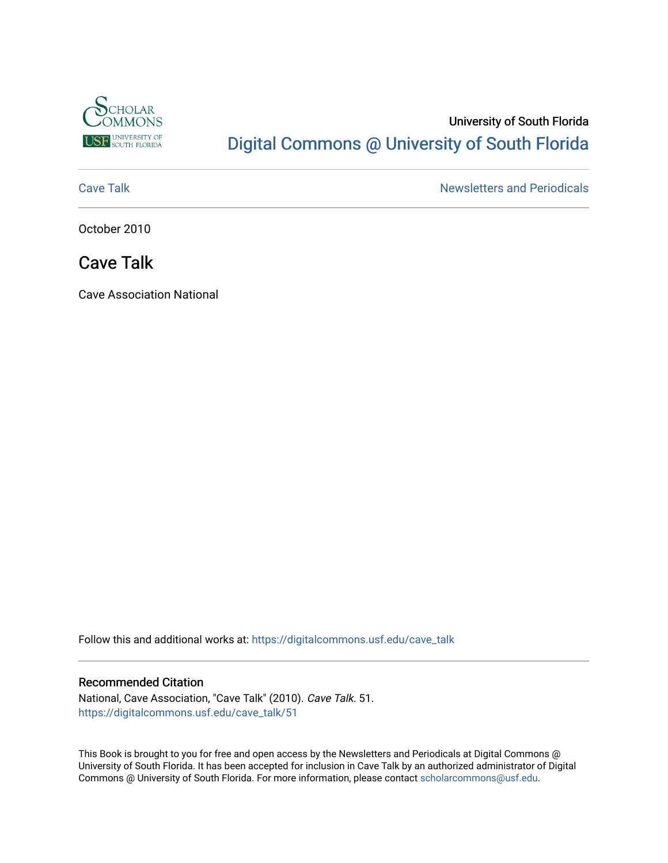

# University of South Florida [Digital Commons @ University of South Florida](https://digitalcommons.usf.edu/)

[Cave Talk](https://digitalcommons.usf.edu/cave_talk) **Newsletters** and Periodicals

October 2010

# Cave Talk

Cave Association National

Follow this and additional works at: [https://digitalcommons.usf.edu/cave\\_talk](https://digitalcommons.usf.edu/cave_talk?utm_source=digitalcommons.usf.edu%2Fcave_talk%2F51&utm_medium=PDF&utm_campaign=PDFCoverPages) 

## Recommended Citation

National, Cave Association, "Cave Talk" (2010). Cave Talk. 51. [https://digitalcommons.usf.edu/cave\\_talk/51](https://digitalcommons.usf.edu/cave_talk/51?utm_source=digitalcommons.usf.edu%2Fcave_talk%2F51&utm_medium=PDF&utm_campaign=PDFCoverPages)

This Book is brought to you for free and open access by the Newsletters and Periodicals at Digital Commons @ University of South Florida. It has been accepted for inclusion in Cave Talk by an authorized administrator of Digital Commons @ University of South Florida. For more information, please contact [scholarcommons@usf.edu](mailto:scholarcommons@usf.edu).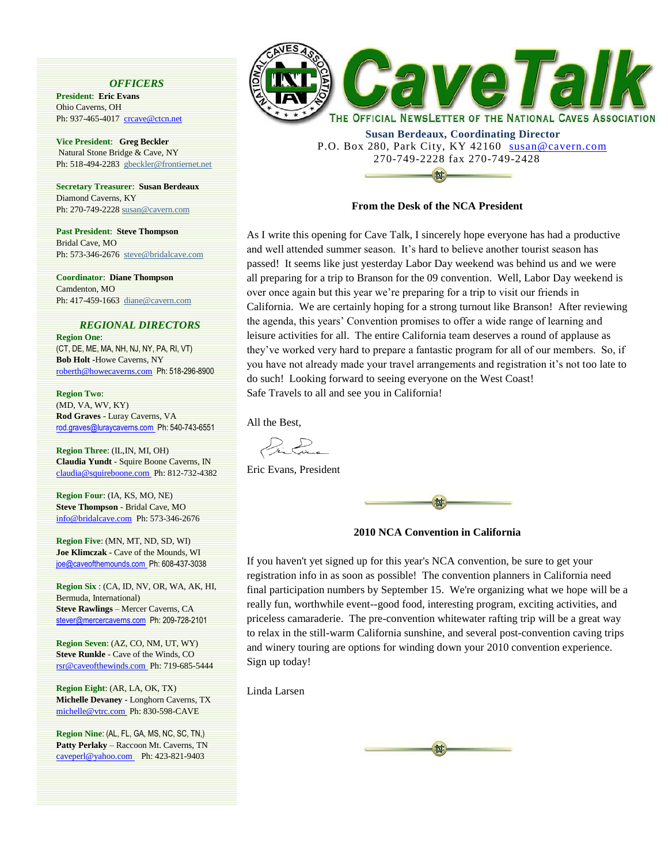#### *OFFICERS*

**President**: **Eric Evans**  Ohio Caverns, OH Ph: 937-465-4017 crcave@ctcn.net

**Vice President**: **Greg Beckler** Natural Stone Bridge & Cave, NY Ph: 518-494-2283 [gbeckler@frontiernet.net](mailto:gbeckler@frontiernet.net)

**Secretary Treasurer**: **Susan Berdeaux**  Diamond Caverns, KY Ph: 270-749-222[8 susan@cavern.com](mailto:susan@cavern.com)

**Past President**: **Steve Thompson**  Bridal Cave, MO Ph: 573-346-2676 [steve@bridalcave.com](mailto:steve@bridalcave.com)

**Coordinator**: **Diane Thompson** Camdenton, MO Ph: 417-459-1663 [diane@cavern.com](mailto:diane@cavern.com)

#### *REGIONAL DIRECTORS*

**Region One**: (CT, DE, ME, MA, NH, NJ, NY, PA, RI, VT) **Bob Holt -**Howe Caverns, NY roberth@howecaverns.com Ph: 518-296-8900

**Region Two**: (MD, VA, WV, KY) **Rod Graves** - Luray Caverns, VA rod.graves@luraycaverns.com Ph: 540-743-6551

**Region Three**: (IL,IN, MI, OH) **Claudia Yundt** - Squire Boone Caverns, IN claudia@squireboone.com Ph: 812-732-4382

**Region Four**: (IA, KS, MO, NE) **Steve Thompson** - Bridal Cave, MO info@bridalcave.com Ph: 573-346-2676

**Region Five**: (MN, MT, ND, SD, WI) **Joe Klimczak** - Cave of the Mounds, WI joe@caveofthemounds.com Ph: 608-437-3038

**Region Six** : (CA, ID, NV, OR, WA, AK, HI, Bermuda, International) **Steve Rawlings** – Mercer Caverns, CA stever@mercercaverns.com Ph: 209-728-2101

**Region Seven**: (AZ, CO, NM, UT, WY) **Steve Runkle** - Cave of the Winds, CO rsr@caveofthewinds.com Ph: 719-685-5444

**Region Eight**: (AR, LA, OK, TX) **Michelle Devaney** - Longhorn Caverns, TX michelle@vtrc.com Ph: 830-598-CAVE

**Region Nine**: (AL, FL, GA, MS, NC, SC, TN,) **Patty Perlaky** – Raccoon Mt. Caverns, TN caveperl@yahoo.com Ph: 423-821-9403



 **Susan Berdeaux, Coordinating Director** P.O. Box 280, Park City, KY 42160 susan@cavern.com 270-749-2228 fax 270-749-2428

#### **From the Desk of the NCA President**

**dxt** 

As I write this opening for Cave Talk, I sincerely hope everyone has had a productive and well attended summer season. It's hard to believe another tourist season has passed! It seems like just yesterday Labor Day weekend was behind us and we were all preparing for a trip to Branson for the 09 convention. Well, Labor Day weekend is over once again but this year we're preparing for a trip to visit our friends in California. We are certainly hoping for a strong turnout like Branson! After reviewing the agenda, this years' Convention promises to offer a wide range of learning and leisure activities for all. The entire California team deserves a round of applause as they've worked very hard to prepare a fantastic program for all of our members. So, if you have not already made your travel arrangements and registration it's not too late to do such! Looking forward to seeing everyone on the West Coast! Safe Travels to all and see you in California!

All the Best,

 $\sum_{\mathbf{k}}$ 

Eric Evans, President



**2010 NCA Convention in California**

If you haven't yet signed up for this year's NCA convention, be sure to get your registration info in as soon as possible! The convention planners in California need final participation numbers by September 15. We're organizing what we hope will be a really fun, worthwhile event--good food, interesting program, exciting activities, and priceless camaraderie. The pre-convention whitewater rafting trip will be a great way to relax in the still-warm California sunshine, and several post-convention caving trips and winery touring are options for winding down your 2010 convention experience. Sign up today!

Linda Larsen

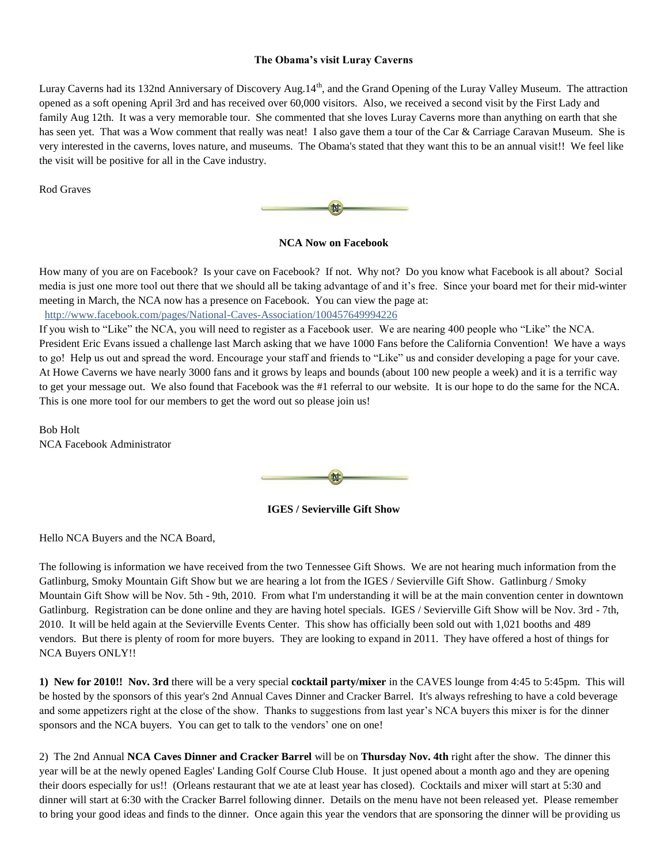### **The Obama's visit Luray Caverns**

Luray Caverns had its 132nd Anniversary of Discovery Aug.14<sup>th</sup>, and the Grand Opening of the Luray Valley Museum. The attraction opened as a soft opening April 3rd and has received over 60,000 visitors. Also, we received a second visit by the First Lady and family Aug 12th. It was a very memorable tour. She commented that she loves Luray Caverns more than anything on earth that she has seen yet. That was a Wow comment that really was neat! I also gave them a tour of the Car & Carriage Caravan Museum. She is very interested in the caverns, loves nature, and museums. The Obama's stated that they want this to be an annual visit!! We feel like the visit will be positive for all in the Cave industry.

Rod Graves



**NCA Now on Facebook**

How many of you are on Facebook? Is your cave on Facebook? If not. Why not? Do you know what Facebook is all about? Social media is just one more tool out there that we should all be taking advantage of and it's free. Since your board met for their mid-winter meeting in March, the NCA now has a presence on Facebook. You can view the page at:

<http://www.facebook.com/pages/National-Caves-Association/100457649994226>

If you wish to "Like" the NCA, you will need to register as a Facebook user. We are nearing 400 people who "Like" the NCA. President Eric Evans issued a challenge last March asking that we have 1000 Fans before the California Convention! We have a ways to go! Help us out and spread the word. Encourage your staff and friends to "Like" us and consider developing a page for your cave. At Howe Caverns we have nearly 3000 fans and it grows by leaps and bounds (about 100 new people a week) and it is a terrific way to get your message out. We also found that Facebook was the #1 referral to our website. It is our hope to do the same for the NCA. This is one more tool for our members to get the word out so please join us!

Bob Holt NCA Facebook Administrator



**IGES / Sevierville Gift Show**

Hello NCA Buyers and the NCA Board,

The following is information we have received from the two Tennessee Gift Shows. We are not hearing much information from the Gatlinburg, Smoky Mountain Gift Show but we are hearing a lot from the IGES / Sevierville Gift Show. Gatlinburg / Smoky Mountain Gift Show will be Nov. 5th - 9th, 2010. From what I'm understanding it will be at the main convention center in downtown Gatlinburg. Registration can be done online and they are having hotel specials. IGES / Sevierville Gift Show will be Nov. 3rd - 7th, 2010. It will be held again at the Sevierville Events Center. This show has officially been sold out with 1,021 booths and 489 vendors. But there is plenty of room for more buyers. They are looking to expand in 2011. They have offered a host of things for NCA Buyers ONLY!!

**1) New for 2010!! Nov. 3rd** there will be a very special **cocktail party/mixer** in the CAVES lounge from 4:45 to 5:45pm. This will be hosted by the sponsors of this year's 2nd Annual Caves Dinner and Cracker Barrel. It's always refreshing to have a cold beverage and some appetizers right at the close of the show. Thanks to suggestions from last year's NCA buyers this mixer is for the dinner sponsors and the NCA buyers. You can get to talk to the vendors' one on one!

2) The 2nd Annual **NCA Caves Dinner and Cracker Barrel** will be on **Thursday Nov. 4th** right after the show. The dinner this year will be at the newly opened Eagles' Landing Golf Course Club House. It just opened about a month ago and they are opening their doors especially for us!! (Orleans restaurant that we ate at least year has closed). Cocktails and mixer will start at 5:30 and dinner will start at 6:30 with the Cracker Barrel following dinner. Details on the menu have not been released yet. Please remember to bring your good ideas and finds to the dinner. Once again this year the vendors that are sponsoring the dinner will be providing us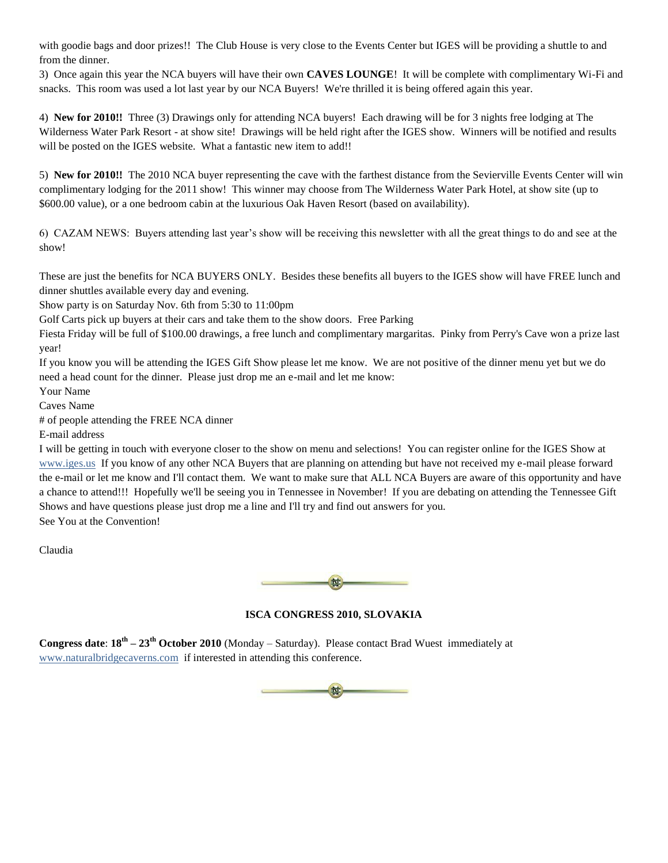with goodie bags and door prizes!! The Club House is very close to the Events Center but IGES will be providing a shuttle to and from the dinner.

3) Once again this year the NCA buyers will have their own **CAVES LOUNGE**! It will be complete with complimentary Wi-Fi and snacks. This room was used a lot last year by our NCA Buyers! We're thrilled it is being offered again this year.

4) **New for 2010!!** Three (3) Drawings only for attending NCA buyers! Each drawing will be for 3 nights free lodging at The Wilderness Water Park Resort - at show site! Drawings will be held right after the IGES show. Winners will be notified and results will be posted on the IGES website. What a fantastic new item to add!!

5) **New for 2010!!** The 2010 NCA buyer representing the cave with the farthest distance from the Sevierville Events Center will win complimentary lodging for the 2011 show! This winner may choose from The Wilderness Water Park Hotel, at show site (up to \$600.00 value), or a one bedroom cabin at the luxurious Oak Haven Resort (based on availability).

6) CAZAM NEWS: Buyers attending last year's show will be receiving this newsletter with all the great things to do and see at the show!

These are just the benefits for NCA BUYERS ONLY. Besides these benefits all buyers to the IGES show will have FREE lunch and dinner shuttles available every day and evening.

Show party is on Saturday Nov. 6th from 5:30 to 11:00pm

Golf Carts pick up buyers at their cars and take them to the show doors. Free Parking

Fiesta Friday will be full of \$100.00 drawings, a free lunch and complimentary margaritas. Pinky from Perry's Cave won a prize last year!

If you know you will be attending the IGES Gift Show please let me know. We are not positive of the dinner menu yet but we do need a head count for the dinner. Please just drop me an e-mail and let me know:

Your Name

Caves Name

# of people attending the FREE NCA dinner

E-mail address

I will be getting in touch with everyone closer to the show on menu and selections! You can register online for the IGES Show at [www.iges.us](http://www.iges.us/) If you know of any other NCA Buyers that are planning on attending but have not received my e-mail please forward the e-mail or let me know and I'll contact them. We want to make sure that ALL NCA Buyers are aware of this opportunity and have a chance to attend!!! Hopefully we'll be seeing you in Tennessee in November! If you are debating on attending the Tennessee Gift Shows and have questions please just drop me a line and I'll try and find out answers for you. See You at the Convention!

Claudia



# **ISCA CONGRESS 2010, SLOVAKIA**

**Congress date**: **18th – 23th October 2010** (Monday – Saturday). Please contact Brad Wuest immediately at [www.naturalbridgecaverns.com](http://www.naturalbridgecaverns.com/) if interested in attending this conference.